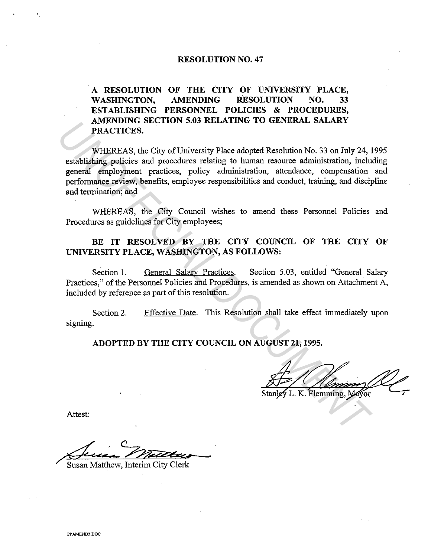#### **RESOLUTION NO. 47**

**A RESOLUTION OF THE CITY OF UNIVERSITY PLACE, WASHINGTON, AMENDING RESOLUTION NO. 33 ESTABLISHING PERSONNEL POLICIES & PROCEDURES, AMENDING SECTION 5.03 RELATING TO GENERAL SALARY PRACTICES.** 

WHEREAS, the City of University Place adopted Resolution No. 33 on July 24, 1995 establishing policies and procedures relating to human resource administration, including general employment practices, policy administration, attendance, compensation and performance review, benefits, employee responsibilities and conduct, training, and discipline and termination; and **EXAMPLINE SEXTION 5.03 KELATING TO GENERAL SALARY**<br> **PRACTICES.**<br>
WHEREAS, the City of University Place adopted Resolution No. 33 on July 24, establishing policies and procedures relating to human resource administration,

WHEREAS, the City Council wishes to amend these Personnel Policies and Procedures as guidelines for City employees;

# BE IT RESOLVED BY THE CITY COUNCIL OF THE CITY OF **UNIVERSITY PLACE, WASHINGTON, AS FOLLOWS:**

Section 1. General Salary Practices. Section 5.03, entitled "General Salary Practices," of the Personnel Policies and Procedures, is amended as shown on Attachment A, included by reference as part of this resolution.

Section 2. signing. Effective Date. This Resolution shall take effect immediately upon

**ADOPTED BY THE CITY COUNCIL ON AUGUST 21, 1995.** 

Attest:

Susan Matthew, Interim City Clerk

**PPAMENDJ.OOC**